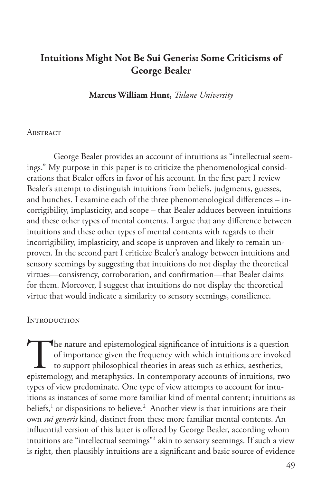# **Intuitions Might Not Be Sui Generis: Some Criticisms of George Bealer**

**Marcus William Hunt,** *Tulane University*

#### **ABSTRACT**

George Bealer provides an account of intuitions as "intellectual seemings." My purpose in this paper is to criticize the phenomenological considerations that Bealer offers in favor of his account. In the first part I review Bealer's attempt to distinguish intuitions from beliefs, judgments, guesses, and hunches. I examine each of the three phenomenological differences – incorrigibility, implasticity, and scope – that Bealer adduces between intuitions and these other types of mental contents. I argue that any difference between intuitions and these other types of mental contents with regards to their incorrigibility, implasticity, and scope is unproven and likely to remain unproven. In the second part I criticize Bealer's analogy between intuitions and sensory seemings by suggesting that intuitions do not display the theoretical virtues—consistency, corroboration, and confirmation—that Bealer claims for them. Moreover, I suggest that intuitions do not display the theoretical virtue that would indicate a similarity to sensory seemings, consilience.

#### **INTRODUCTION**

The nature and epistemological significance of intuitions is a question of importance given the frequency with which intuitions are invoked to support philosophical theories in areas such as ethics, aesthetics, epistemolog of importance given the frequency with which intuitions are invoked to support philosophical theories in areas such as ethics, aesthetics, epistemology, and metaphysics. In contemporary accounts of intuitions, two types of view predominate. One type of view attempts to account for intuitions as instances of some more familiar kind of mental content; intuitions as beliefs,<sup>1</sup> or dispositions to believe.<sup>2</sup> Another view is that intuitions are their own *sui generis* kind, distinct from these more familiar mental contents. An influential version of this latter is offered by George Bealer, according whom intuitions are "intellectual seemings"3 akin to sensory seemings. If such a view is right, then plausibly intuitions are a significant and basic source of evidence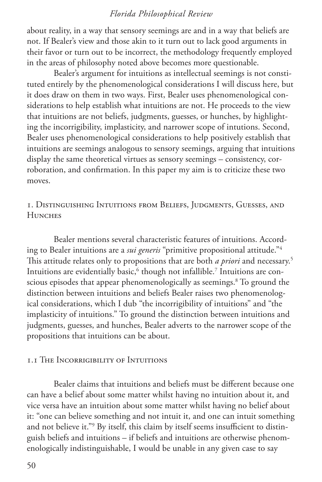about reality, in a way that sensory seemings are and in a way that beliefs are not. If Bealer's view and those akin to it turn out to lack good arguments in their favor or turn out to be incorrect, the methodology frequently employed in the areas of philosophy noted above becomes more questionable.

Bealer's argument for intuitions as intellectual seemings is not constituted entirely by the phenomenological considerations I will discuss here, but it does draw on them in two ways. First, Bealer uses phenomenological considerations to help establish what intuitions are not. He proceeds to the view that intuitions are not beliefs, judgments, guesses, or hunches, by highlighting the incorrigibility, implasticity, and narrower scope of intutions. Second, Bealer uses phenomenological considerations to help positively establish that intuitions are seemings analogous to sensory seemings, arguing that intuitions display the same theoretical virtues as sensory seemings – consistency, corroboration, and confirmation. In this paper my aim is to criticize these two moves.

# 1. Distinguishing Intuitions from Beliefs, Judgments, Guesses, and **HUNCHES**

Bealer mentions several characteristic features of intuitions. According to Bealer intuitions are a *sui generis* "primitive propositional attitude."4 This attitude relates only to propositions that are both *a priori* and necessary.5 Intuitions are evidentially basic, $\rm^6$  though not infallible. $\rm^7$  Intuitions are conscious episodes that appear phenomenologically as seemings.8 To ground the distinction between intuitions and beliefs Bealer raises two phenomenological considerations, which I dub "the incorrigibility of intuitions" and "the implasticity of intuitions." To ground the distinction between intuitions and judgments, guesses, and hunches, Bealer adverts to the narrower scope of the propositions that intuitions can be about.

# 1.1 The Incorrigibility of Intuitions

Bealer claims that intuitions and beliefs must be different because one can have a belief about some matter whilst having no intuition about it, and vice versa have an intuition about some matter whilst having no belief about it: "one can believe something and not intuit it, and one can intuit something and not believe it."9 By itself, this claim by itself seems insufficient to distinguish beliefs and intuitions – if beliefs and intuitions are otherwise phenomenologically indistinguishable, I would be unable in any given case to say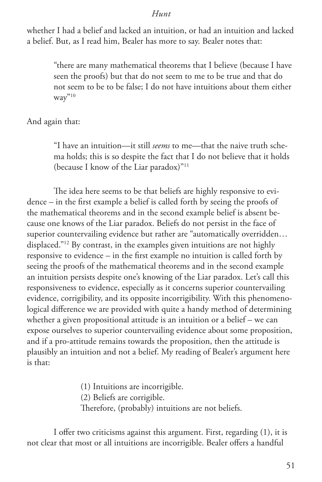whether I had a belief and lacked an intuition, or had an intuition and lacked a belief. But, as I read him, Bealer has more to say. Bealer notes that:

"there are many mathematical theorems that I believe (because I have seen the proofs) but that do not seem to me to be true and that do not seem to be to be false; I do not have intuitions about them either  $\text{wav}^{"10}$ 

And again that:

"I have an intuition—it still *seems* to me—that the naive truth schema holds; this is so despite the fact that I do not believe that it holds (because I know of the Liar paradox)"11

The idea here seems to be that beliefs are highly responsive to evidence – in the first example a belief is called forth by seeing the proofs of the mathematical theorems and in the second example belief is absent because one knows of the Liar paradox. Beliefs do not persist in the face of superior countervailing evidence but rather are "automatically overridden… displaced."12 By contrast, in the examples given intuitions are not highly responsive to evidence – in the first example no intuition is called forth by seeing the proofs of the mathematical theorems and in the second example an intuition persists despite one's knowing of the Liar paradox. Let's call this responsiveness to evidence, especially as it concerns superior countervailing evidence, corrigibility, and its opposite incorrigibility. With this phenomenological difference we are provided with quite a handy method of determining whether a given propositional attitude is an intuition or a belief – we can expose ourselves to superior countervailing evidence about some proposition, and if a pro-attitude remains towards the proposition, then the attitude is plausibly an intuition and not a belief. My reading of Bealer's argument here is that:

> (1) Intuitions are incorrigible. (2) Beliefs are corrigible. Therefore, (probably) intuitions are not beliefs.

I offer two criticisms against this argument. First, regarding (1), it is not clear that most or all intuitions are incorrigible. Bealer offers a handful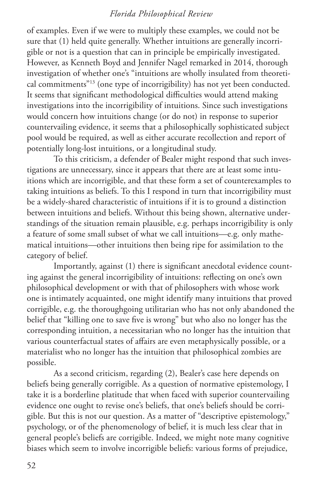of examples. Even if we were to multiply these examples, we could not be sure that (1) held quite generally. Whether intuitions are generally incorrigible or not is a question that can in principle be empirically investigated. However, as Kenneth Boyd and Jennifer Nagel remarked in 2014, thorough investigation of whether one's "intuitions are wholly insulated from theoretical commitments"13 (one type of incorrigibility) has not yet been conducted. It seems that significant methodological difficulties would attend making investigations into the incorrigibility of intuitions. Since such investigations would concern how intuitions change (or do not) in response to superior countervailing evidence, it seems that a philosophically sophisticated subject pool would be required, as well as either accurate recollection and report of potentially long-lost intuitions, or a longitudinal study.

To this criticism, a defender of Bealer might respond that such investigations are unnecessary, since it appears that there are at least some intuitions which are incorrigible, and that these form a set of counterexamples to taking intuitions as beliefs. To this I respond in turn that incorrigibility must be a widely-shared characteristic of intuitions if it is to ground a distinction between intuitions and beliefs. Without this being shown, alternative understandings of the situation remain plausible, e.g. perhaps incorrigibility is only a feature of some small subset of what we call intuitions—e.g. only mathematical intuitions—other intuitions then being ripe for assimilation to the category of belief.

Importantly, against (1) there is significant anecdotal evidence counting against the general incorrigibility of intuitions: reflecting on one's own philosophical development or with that of philosophers with whose work one is intimately acquainted, one might identify many intuitions that proved corrigible, e.g. the thoroughgoing utilitarian who has not only abandoned the belief that "killing one to save five is wrong" but who also no longer has the corresponding intuition, a necessitarian who no longer has the intuition that various counterfactual states of affairs are even metaphysically possible, or a materialist who no longer has the intuition that philosophical zombies are possible.

As a second criticism, regarding (2), Bealer's case here depends on beliefs being generally corrigible. As a question of normative epistemology, I take it is a borderline platitude that when faced with superior countervailing evidence one ought to revise one's beliefs, that one's beliefs should be corrigible. But this is not our question. As a matter of "descriptive epistemology," psychology, or of the phenomenology of belief, it is much less clear that in general people's beliefs are corrigible. Indeed, we might note many cognitive biases which seem to involve incorrigible beliefs: various forms of prejudice,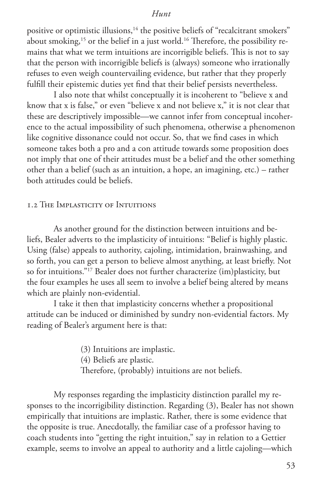positive or optimistic illusions,<sup>14</sup> the positive beliefs of "recalcitrant smokers" about smoking,<sup>15</sup> or the belief in a just world.<sup>16</sup> Therefore, the possibility remains that what we term intuitions are incorrigible beliefs. This is not to say that the person with incorrigible beliefs is (always) someone who irrationally refuses to even weigh countervailing evidence, but rather that they properly fulfill their epistemic duties yet find that their belief persists nevertheless.

I also note that whilst conceptually it is incoherent to "believe x and know that x is false," or even "believe x and not believe x," it is not clear that these are descriptively impossible—we cannot infer from conceptual incoherence to the actual impossibility of such phenomena, otherwise a phenomenon like cognitive dissonance could not occur. So, that we find cases in which someone takes both a pro and a con attitude towards some proposition does not imply that one of their attitudes must be a belief and the other something other than a belief (such as an intuition, a hope, an imagining, etc.) – rather both attitudes could be beliefs.

#### 1.2 The Implasticity of Intuitions

As another ground for the distinction between intuitions and beliefs, Bealer adverts to the implasticity of intuitions: "Belief is highly plastic. Using (false) appeals to authority, cajoling, intimidation, brainwashing, and so forth, you can get a person to believe almost anything, at least briefly. Not so for intuitions."17 Bealer does not further characterize (im)plasticity, but the four examples he uses all seem to involve a belief being altered by means which are plainly non-evidential.

I take it then that implasticity concerns whether a propositional attitude can be induced or diminished by sundry non-evidential factors. My reading of Bealer's argument here is that:

> (3) Intuitions are implastic. (4) Beliefs are plastic. Therefore, (probably) intuitions are not beliefs.

My responses regarding the implasticity distinction parallel my responses to the incorrigibility distinction. Regarding (3), Bealer has not shown empirically that intuitions are implastic. Rather, there is some evidence that the opposite is true. Anecdotally, the familiar case of a professor having to coach students into "getting the right intuition," say in relation to a Gettier example, seems to involve an appeal to authority and a little cajoling—which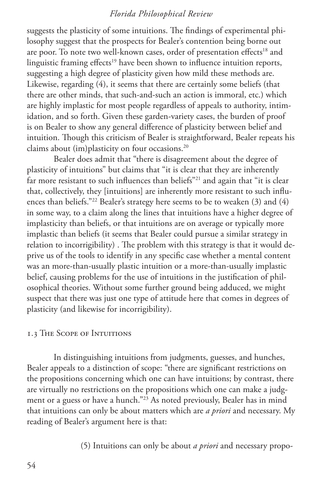suggests the plasticity of some intuitions. The findings of experimental philosophy suggest that the prospects for Bealer's contention being borne out are poor. To note two well-known cases, order of presentation effects<sup>18</sup> and linguistic framing effects<sup>19</sup> have been shown to influence intuition reports, suggesting a high degree of plasticity given how mild these methods are. Likewise, regarding (4), it seems that there are certainly some beliefs (that there are other minds, that such-and-such an action is immoral, etc.) which are highly implastic for most people regardless of appeals to authority, intimidation, and so forth. Given these garden-variety cases, the burden of proof is on Bealer to show any general difference of plasticity between belief and intuition. Though this criticism of Bealer is straightforward, Bealer repeats his claims about (im)plasticity on four occasions.<sup>20</sup>

Bealer does admit that "there is disagreement about the degree of plasticity of intuitions" but claims that "it is clear that they are inherently far more resistant to such influences than beliefs"<sup>21</sup> and again that "it is clear that, collectively, they [intuitions] are inherently more resistant to such influences than beliefs."<sup>22</sup> Bealer's strategy here seems to be to weaken (3) and (4) in some way, to a claim along the lines that intuitions have a higher degree of implasticity than beliefs, or that intuitions are on average or typically more implastic than beliefs (it seems that Bealer could pursue a similar strategy in relation to incorrigibility) . The problem with this strategy is that it would deprive us of the tools to identify in any specific case whether a mental content was an more-than-usually plastic intuition or a more-than-usually implastic belief, causing problems for the use of intuitions in the justification of philosophical theories. Without some further ground being adduced, we might suspect that there was just one type of attitude here that comes in degrees of plasticity (and likewise for incorrigibility).

#### 1.3 The Scope of Intuitions

In distinguishing intuitions from judgments, guesses, and hunches, Bealer appeals to a distinction of scope: "there are significant restrictions on the propositions concerning which one can have intuitions; by contrast, there are virtually no restrictions on the propositions which one can make a judgment or a guess or have a hunch."<sup>23</sup> As noted previously, Bealer has in mind that intuitions can only be about matters which are *a priori* and necessary. My reading of Bealer's argument here is that:

(5) Intuitions can only be about *a priori* and necessary propo-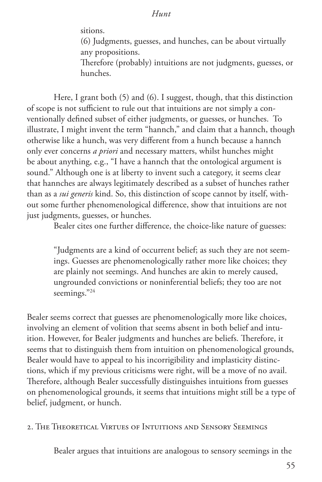sitions.

(6) Judgments, guesses, and hunches, can be about virtually any propositions.

Therefore (probably) intuitions are not judgments, guesses, or hunches.

Here, I grant both (5) and (6). I suggest, though, that this distinction of scope is not sufficient to rule out that intuitions are not simply a conventionally defined subset of either judgments, or guesses, or hunches. To illustrate, I might invent the term "hannch," and claim that a hannch, though otherwise like a hunch, was very different from a hunch because a hannch only ever concerns *a priori* and necessary matters, whilst hunches might be about anything, e.g., "I have a hannch that the ontological argument is sound." Although one is at liberty to invent such a category, it seems clear that hannches are always legitimately described as a subset of hunches rather than as a *sui generis* kind. So, this distinction of scope cannot by itself, without some further phenomenological difference, show that intuitions are not just judgments, guesses, or hunches.

Bealer cites one further difference, the choice-like nature of guesses:

"Judgments are a kind of occurrent belief; as such they are not seemings. Guesses are phenomenologically rather more like choices; they are plainly not seemings. And hunches are akin to merely caused, ungrounded convictions or noninferential beliefs; they too are not seemings."24

Bealer seems correct that guesses are phenomenologically more like choices, involving an element of volition that seems absent in both belief and intuition. However, for Bealer judgments and hunches are beliefs. Therefore, it seems that to distinguish them from intuition on phenomenological grounds, Bealer would have to appeal to his incorrigibility and implasticity distinctions, which if my previous criticisms were right, will be a move of no avail. Therefore, although Bealer successfully distinguishes intuitions from guesses on phenomenological grounds, it seems that intuitions might still be a type of belief, judgment, or hunch.

2. The Theoretical Virtues of Intuitions and Sensory Seemings

Bealer argues that intuitions are analogous to sensory seemings in the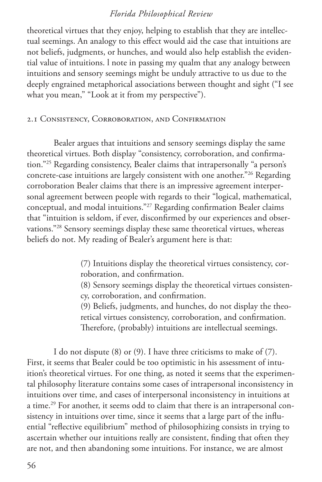theoretical virtues that they enjoy, helping to establish that they are intellectual seemings. An analogy to this effect would aid the case that intuitions are not beliefs, judgments, or hunches, and would also help establish the evidential value of intuitions. l note in passing my qualm that any analogy between intuitions and sensory seemings might be unduly attractive to us due to the deeply engrained metaphorical associations between thought and sight ("I see what you mean," "Look at it from my perspective").

#### 2.1 Consistency, Corroboration, and Confirmation

Bealer argues that intuitions and sensory seemings display the same theoretical virtues. Both display "consistency, corroboration, and confirmation."25 Regarding consistency, Bealer claims that intrapersonally "a person's concrete-case intuitions are largely consistent with one another."26 Regarding corroboration Bealer claims that there is an impressive agreement interpersonal agreement between people with regards to their "logical, mathematical, conceptual, and modal intuitions."27 Regarding confirmation Bealer claims that "intuition is seldom, if ever, disconfirmed by our experiences and observations."28 Sensory seemings display these same theoretical virtues, whereas beliefs do not. My reading of Bealer's argument here is that:

> (7) Intuitions display the theoretical virtues consistency, corroboration, and confirmation.

(8) Sensory seemings display the theoretical virtues consistency, corroboration, and confirmation.

(9) Beliefs, judgments, and hunches, do not display the theoretical virtues consistency, corroboration, and confirmation. Therefore, (probably) intuitions are intellectual seemings.

I do not dispute (8) or (9). I have three criticisms to make of (7). First, it seems that Bealer could be too optimistic in his assessment of intuition's theoretical virtues. For one thing, as noted it seems that the experimental philosophy literature contains some cases of intrapersonal inconsistency in intuitions over time, and cases of interpersonal inconsistency in intuitions at a time.<sup>29</sup> For another, it seems odd to claim that there is an intrapersonal consistency in intuitions over time, since it seems that a large part of the influential "reflective equilibrium" method of philosophizing consists in trying to ascertain whether our intuitions really are consistent, finding that often they are not, and then abandoning some intuitions. For instance, we are almost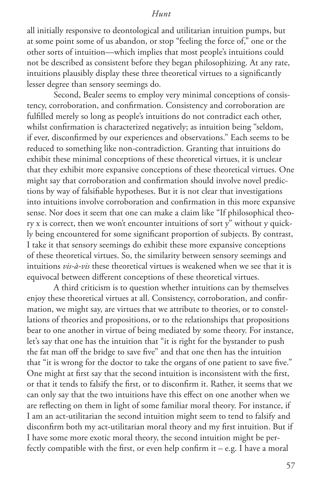all initially responsive to deontological and utilitarian intuition pumps, but at some point some of us abandon, or stop "feeling the force of," one or the other sorts of intuition—which implies that most people's intuitions could not be described as consistent before they began philosophizing. At any rate, intuitions plausibly display these three theoretical virtues to a significantly lesser degree than sensory seemings do.

Second, Bealer seems to employ very minimal conceptions of consistency, corroboration, and confirmation. Consistency and corroboration are fulfilled merely so long as people's intuitions do not contradict each other, whilst confirmation is characterized negatively; as intuition being "seldom, if ever, disconfirmed by our experiences and observations." Each seems to be reduced to something like non-contradiction. Granting that intuitions do exhibit these minimal conceptions of these theoretical virtues, it is unclear that they exhibit more expansive conceptions of these theoretical virtues. One might say that corroboration and confirmation should involve novel predictions by way of falsifiable hypotheses. But it is not clear that investigations into intuitions involve corroboration and confirmation in this more expansive sense. Nor does it seem that one can make a claim like "If philosophical theory x is correct, then we won't encounter intuitions of sort y" without y quickly being encountered for some significant proportion of subjects. By contrast, I take it that sensory seemings do exhibit these more expansive conceptions of these theoretical virtues. So, the similarity between sensory seemings and intuitions *vis-à-vis* these theoretical virtues is weakened when we see that it is equivocal between different conceptions of these theoretical virtues.

A third criticism is to question whether intuitions can by themselves enjoy these theoretical virtues at all. Consistency, corroboration, and confirmation, we might say, are virtues that we attribute to theories, or to constellations of theories and propositions, or to the relationships that propositions bear to one another in virtue of being mediated by some theory. For instance, let's say that one has the intuition that "it is right for the bystander to push the fat man off the bridge to save five" and that one then has the intuition that "it is wrong for the doctor to take the organs of one patient to save five." One might at first say that the second intuition is inconsistent with the first, or that it tends to falsify the first, or to disconfirm it. Rather, it seems that we can only say that the two intuitions have this effect on one another when we are reflecting on them in light of some familiar moral theory. For instance, if I am an act-utilitarian the second intuition might seem to tend to falsify and disconfirm both my act-utilitarian moral theory and my first intuition. But if I have some more exotic moral theory, the second intuition might be perfectly compatible with the first, or even help confirm it – e.g. I have a moral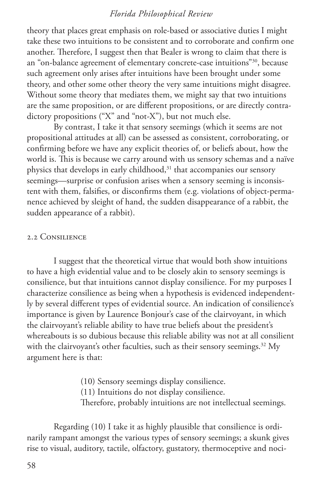theory that places great emphasis on role-based or associative duties I might take these two intuitions to be consistent and to corroborate and confirm one another. Therefore, I suggest then that Bealer is wrong to claim that there is an "on-balance agreement of elementary concrete-case intuitions"30, because such agreement only arises after intuitions have been brought under some theory, and other some other theory the very same intuitions might disagree. Without some theory that mediates them, we might say that two intuitions are the same proposition, or are different propositions, or are directly contradictory propositions ("X" and "not-X"), but not much else.

By contrast, I take it that sensory seemings (which it seems are not propositional attitudes at all) can be assessed as consistent, corroborating, or confirming before we have any explicit theories of, or beliefs about, how the world is. This is because we carry around with us sensory schemas and a naïve physics that develops in early childhood,<sup>31</sup> that accompanies our sensory seemings—surprise or confusion arises when a sensory seeming is inconsistent with them, falsifies, or disconfirms them (e.g. violations of object-permanence achieved by sleight of hand, the sudden disappearance of a rabbit, the sudden appearance of a rabbit).

#### 2.2 Consilience

I suggest that the theoretical virtue that would both show intuitions to have a high evidential value and to be closely akin to sensory seemings is consilience, but that intuitions cannot display consilience. For my purposes I characterize consilience as being when a hypothesis is evidenced independently by several different types of evidential source. An indication of consilience's importance is given by Laurence Bonjour's case of the clairvoyant, in which the clairvoyant's reliable ability to have true beliefs about the president's whereabouts is so dubious because this reliable ability was not at all consilient with the clairvoyant's other faculties, such as their sensory seemings.<sup>32</sup> My argument here is that:

> (10) Sensory seemings display consilience. (11) Intuitions do not display consilience. Therefore, probably intuitions are not intellectual seemings.

Regarding (10) I take it as highly plausible that consilience is ordinarily rampant amongst the various types of sensory seemings; a skunk gives rise to visual, auditory, tactile, olfactory, gustatory, thermoceptive and noci-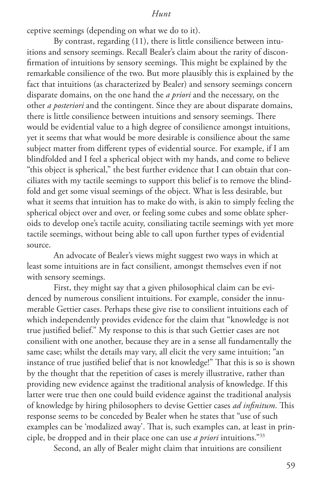ceptive seemings (depending on what we do to it).

By contrast, regarding (11), there is little consilience between intuitions and sensory seemings. Recall Bealer's claim about the rarity of disconfirmation of intuitions by sensory seemings. This might be explained by the remarkable consilience of the two. But more plausibly this is explained by the fact that intuitions (as characterized by Bealer) and sensory seemings concern disparate domains, on the one hand the *a priori* and the necessary, on the other *a posteriori* and the contingent. Since they are about disparate domains, there is little consilience between intuitions and sensory seemings. There would be evidential value to a high degree of consilience amongst intuitions, yet it seems that what would be more desirable is consilience about the same subject matter from different types of evidential source. For example, if I am blindfolded and I feel a spherical object with my hands, and come to believe "this object is spherical," the best further evidence that I can obtain that conciliates with my tactile seemings to support this belief is to remove the blindfold and get some visual seemings of the object. What is less desirable, but what it seems that intuition has to make do with, is akin to simply feeling the spherical object over and over, or feeling some cubes and some oblate spheroids to develop one's tactile acuity, consiliating tactile seemings with yet more tactile seemings, without being able to call upon further types of evidential source.

An advocate of Bealer's views might suggest two ways in which at least some intuitions are in fact consilient, amongst themselves even if not with sensory seemings.

First, they might say that a given philosophical claim can be evidenced by numerous consilient intuitions. For example, consider the innumerable Gettier cases. Perhaps these give rise to consilient intuitions each of which independently provides evidence for the claim that "knowledge is not true justified belief." My response to this is that such Gettier cases are not consilient with one another, because they are in a sense all fundamentally the same case; whilst the details may vary, all elicit the very same intuition; "an instance of true justified belief that is not knowledge!" That this is so is shown by the thought that the repetition of cases is merely illustrative, rather than providing new evidence against the traditional analysis of knowledge. If this latter were true then one could build evidence against the traditional analysis of knowledge by hiring philosophers to devise Gettier cases *ad infinitum*. This response seems to be conceded by Bealer when he states that "use of such examples can be 'modalized away'. That is, such examples can, at least in principle, be dropped and in their place one can use *a priori* intuitions."33

Second, an ally of Bealer might claim that intuitions are consilient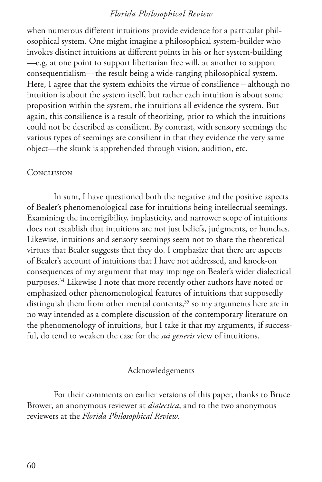when numerous different intuitions provide evidence for a particular philosophical system. One might imagine a philosophical system-builder who invokes distinct intuitions at different points in his or her system-building —e.g. at one point to support libertarian free will, at another to support consequentialism—the result being a wide-ranging philosophical system. Here, I agree that the system exhibits the virtue of consilience – although no intuition is about the system itself, but rather each intuition is about some proposition within the system, the intuitions all evidence the system. But again, this consilience is a result of theorizing, prior to which the intuitions could not be described as consilient. By contrast, with sensory seemings the various types of seemings are consilient in that they evidence the very same object—the skunk is apprehended through vision, audition, etc.

#### CONCLUSION

In sum, I have questioned both the negative and the positive aspects of Bealer's phenomenological case for intuitions being intellectual seemings. Examining the incorrigibility, implasticity, and narrower scope of intuitions does not establish that intuitions are not just beliefs, judgments, or hunches. Likewise, intuitions and sensory seemings seem not to share the theoretical virtues that Bealer suggests that they do. I emphasize that there are aspects of Bealer's account of intuitions that I have not addressed, and knock-on consequences of my argument that may impinge on Bealer's wider dialectical purposes.<sup>34</sup> Likewise I note that more recently other authors have noted or emphasized other phenomenological features of intuitions that supposedly distinguish them from other mental contents, $35$  so my arguments here are in no way intended as a complete discussion of the contemporary literature on the phenomenology of intuitions, but I take it that my arguments, if successful, do tend to weaken the case for the *sui generis* view of intuitions.

#### Acknowledgements

For their comments on earlier versions of this paper, thanks to Bruce Brower, an anonymous reviewer at *dialectica*, and to the two anonymous reviewers at the *Florida Philosophical Review*.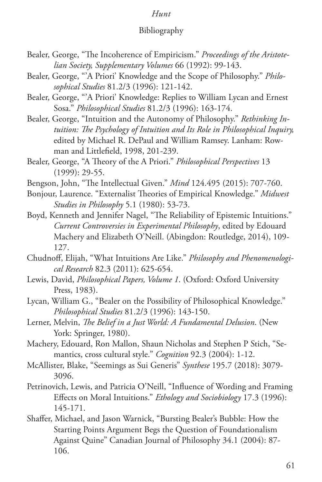#### Bibliography

- Bealer, George, "The Incoherence of Empiricism." *Proceedings of the Aristotelian Society, Supplementary Volumes* 66 (1992): 99-143.
- Bealer, George, "'A Priori' Knowledge and the Scope of Philosophy." *Philosophical Studies* 81.2/3 (1996): 121-142.
- Bealer, George, "'A Priori' Knowledge: Replies to William Lycan and Ernest Sosa." *Philosophical Studies* 81.2/3 (1996): 163-174.
- Bealer, George, "Intuition and the Autonomy of Philosophy." *Rethinking Intuition: The Psychology of Intuition and Its Role in Philosophical Inquiry,*  edited by Michael R. DePaul and William Ramsey. Lanham: Rowman and Littlefield, 1998, 201-239.
- Bealer, George, "A Theory of the A Priori." *Philosophical Perspectives* 13 (1999): 29-55.
- Bengson, John, "The Intellectual Given." *Mind* 124.495 (2015): 707-760.
- Bonjour, Laurence. "Externalist Theories of Empirical Knowledge." *Midwest Studies in Philosophy* 5.1 (1980): 53-73.
- Boyd, Kenneth and Jennifer Nagel, "The Reliability of Epistemic Intuitions." *Current Controversies in Experimental Philosophy*, edited by Edouard Machery and Elizabeth O'Neill. (Abingdon: Routledge, 2014), 109- 127.
- Chudnoff, Elijah, "What Intuitions Are Like." *Philosophy and Phenomenological Research* 82.3 (2011): 625-654.
- Lewis, David, *Philosophical Papers, Volume 1*. (Oxford: Oxford University Press, 1983).
- Lycan, William G., "Bealer on the Possibility of Philosophical Knowledge." *Philosophical Studies* 81.2/3 (1996): 143-150.
- Lerner, Melvin, *The Belief in a Just World: A Fundamental Delusion*. (New York: Springer, 1980).
- Machery, Edouard, Ron Mallon, Shaun Nicholas and Stephen P Stich, "Semantics, cross cultural style." *Cognition* 92.3 (2004): 1-12.
- McAllister, Blake, "Seemings as Sui Generis" *Synthese* 195.7 (2018): 3079- 3096.
- Petrinovich, Lewis, and Patricia O'Neill, "Influence of Wording and Framing Effects on Moral Intuitions." *Ethology and Sociobiology* 17.3 (1996): 145-171.
- Shaffer, Michael, and Jason Warnick, "Bursting Bealer's Bubble: How the Starting Points Argument Begs the Question of Foundationalism Against Quine" Canadian Journal of Philosophy 34.1 (2004): 87- 106.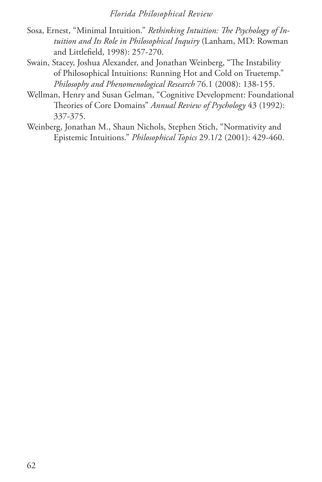- Sosa, Ernest, "Minimal Intuition." *Rethinking Intuition: The Psychology of Intuition and Its Role in Philosophical Inquiry* (Lanham, MD: Rowman and Littlefield, 1998): 257-270.
- Swain, Stacey, Joshua Alexander, and Jonathan Weinberg, "The Instability of Philosophical Intuitions: Running Hot and Cold on Truetemp." *Philosophy and Phenomenological Research* 76.1 (2008): 138-155.
- Wellman, Henry and Susan Gelman, "Cognitive Development: Foundational Theories of Core Domains" *Annual Review of Psychology* 43 (1992): 337-375.
- Weinberg, Jonathan M., Shaun Nichols, Stephen Stich, "Normativity and Epistemic Intuitions." *Philosophical Topics* 29.1/2 (2001): 429-460.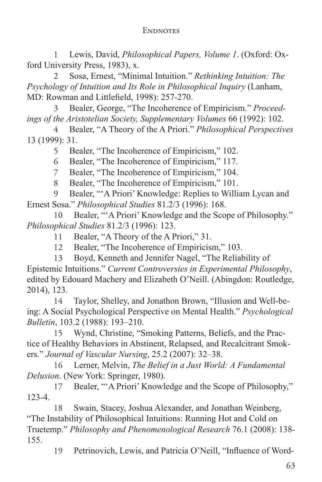# **ENDNOTES**

1 Lewis, David, *Philosophical Papers, Volume 1*. (Oxford: Oxford University Press, 1983), x.

2 Sosa, Ernest, "Minimal Intuition." *Rethinking Intuition: The Psychology of Intuition and Its Role in Philosophical Inquiry* (Lanham, MD: Rowman and Littlefield, 1998): 257-270.

3 Bealer, George, "The Incoherence of Empiricism." *Proceedings of the Aristotelian Society, Supplementary Volumes* 66 (1992): 102.

4 Bealer, "A Theory of the A Priori." *Philosophical Perspectives* 13 (1999): 31.

5 Bealer, "The Incoherence of Empiricism," 102.

6 Bealer, "The Incoherence of Empiricism," 117.

7 Bealer, "The Incoherence of Empiricism," 104.

8 Bealer, "The Incoherence of Empiricism," 101.

9 Bealer, "'A Priori' Knowledge: Replies to William Lycan and Ernest Sosa." *Philosophical Studies* 81.2/3 (1996): 168.

10 Bealer, "'A Priori' Knowledge and the Scope of Philosophy." *Philosophical Studies* 81.2/3 (1996): 123.

11 Bealer, "A Theory of the A Priori," 31.

12 Bealer, "The Incoherence of Empiricism," 103.

13 Boyd, Kenneth and Jennifer Nagel, "The Reliability of Epistemic Intuitions." *Current Controversies in Experimental Philosophy*, edited by Edouard Machery and Elizabeth O'Neill. (Abingdon: Routledge, 2014), 123.

14 Taylor, Shelley, and Jonathon Brown, "Illusion and Well-being: A Social Psychological Perspective on Mental Health." *Psychological Bulletin*, 103.2 (1988): 193–210.

15 Wynd, Christine, "Smoking Patterns, Beliefs, and the Practice of Healthy Behaviors in Abstinent, Relapsed, and Recalcitrant Smokers." *Journal of Vascular Nursing*, 25.2 (2007): 32–38.

16 Lerner, Melvin, *The Belief in a Just World: A Fundamental Delusion*. (New York: Springer, 1980).

17 Bealer, "'A Priori' Knowledge and the Scope of Philosophy," 123-4.

18 Swain, Stacey, Joshua Alexander, and Jonathan Weinberg, "The Instability of Philosophical Intuitions: Running Hot and Cold on Truetemp." *Philosophy and Phenomenological Research* 76.1 (2008): 138- 155.

19 Petrinovich, Lewis, and Patricia O'Neill, "Influence of Word-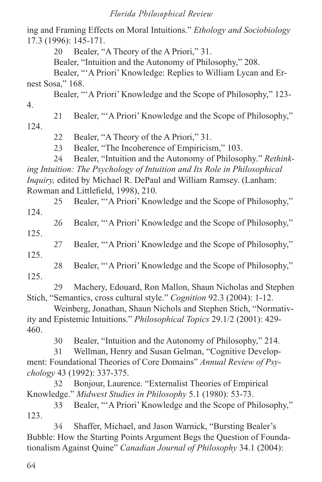ing and Framing Effects on Moral Intuitions." *Ethology and Sociobiology* 17.3 (1996): 145-171.

20 Bealer, "A Theory of the A Priori," 31.

Bealer, "Intuition and the Autonomy of Philosophy," 208.

Bealer, "'A Priori' Knowledge: Replies to William Lycan and Ernest Sosa," 168.

Bealer, "'A Priori' Knowledge and the Scope of Philosophy," 123- 4.

21 Bealer, "'A Priori' Knowledge and the Scope of Philosophy,"

124.

22 Bealer, "A Theory of the A Priori," 31.

23 Bealer, "The Incoherence of Empiricism," 103.

24 Bealer, "Intuition and the Autonomy of Philosophy." *Rethinking Intuition: The Psychology of Intuition and Its Role in Philosophical Inquiry,* edited by Michael R. DePaul and William Ramsey. (Lanham: Rowman and Littlefield, 1998), 210.

25 Bealer, "'A Priori' Knowledge and the Scope of Philosophy," 124.

26 Bealer, "'A Priori' Knowledge and the Scope of Philosophy," 125.

27 Bealer, "'A Priori' Knowledge and the Scope of Philosophy,"

125.

28 Bealer, "'A Priori' Knowledge and the Scope of Philosophy," 125.

29 Machery, Edouard, Ron Mallon, Shaun Nicholas and Stephen Stich, "Semantics, cross cultural style." *Cognition* 92.3 (2004): 1-12.

Weinberg, Jonathan, Shaun Nichols and Stephen Stich, "Normativity and Epistemic Intuitions." *Philosophical Topics* 29.1/2 (2001): 429- 460.

30 Bealer, "Intuition and the Autonomy of Philosophy," 214.

31 Wellman, Henry and Susan Gelman, "Cognitive Development: Foundational Theories of Core Domains" *Annual Review of Psychology* 43 (1992): 337-375.

32 Bonjour, Laurence. "Externalist Theories of Empirical Knowledge." *Midwest Studies in Philosophy* 5.1 (1980): 53-73.

33 Bealer, "'A Priori' Knowledge and the Scope of Philosophy," 123.

34 Shaffer, Michael, and Jason Warnick, "Bursting Bealer's Bubble: How the Starting Points Argument Begs the Question of Foundationalism Against Quine" *Canadian Journal of Philosophy* 34.1 (2004):